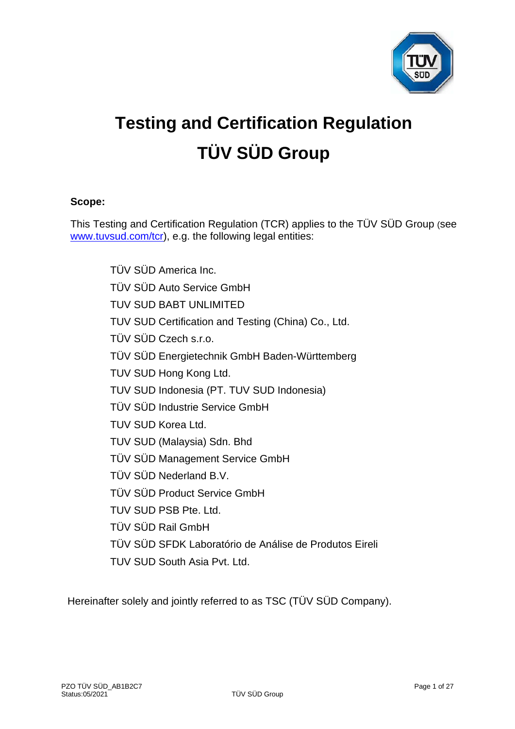

# **Testing and Certification Regulation TÜV SÜD Group**

# **Scope:**

This Testing and Certification Regulation (TCR) applies to the TÜV SÜD Group (see [www.tuvsud.com/tcr\)](http://www.tuvsud.com/tcr), e.g. the following legal entities:

> TÜV SÜD America Inc. TÜV SÜD Auto Service GmbH TUV SUD BABT UNLIMITED TUV SUD Certification and Testing (China) Co., Ltd. TÜV SÜD Czech s.r.o. TÜV SÜD Energietechnik GmbH Baden-Württemberg TUV SUD Hong Kong Ltd. TUV SUD Indonesia (PT. TUV SUD Indonesia) TÜV SÜD Industrie Service GmbH TUV SUD Korea Ltd. TUV SUD (Malaysia) Sdn. Bhd TÜV SÜD Management Service GmbH TÜV SÜD Nederland B.V. TÜV SÜD Product Service GmbH TUV SUD PSB Pte. Ltd. TÜV SÜD Rail GmbH TÜV SÜD SFDK Laboratório de Análise de Produtos Eireli TUV SUD South Asia Pvt. Ltd.

Hereinafter solely and jointly referred to as TSC (TÜV SÜD Company).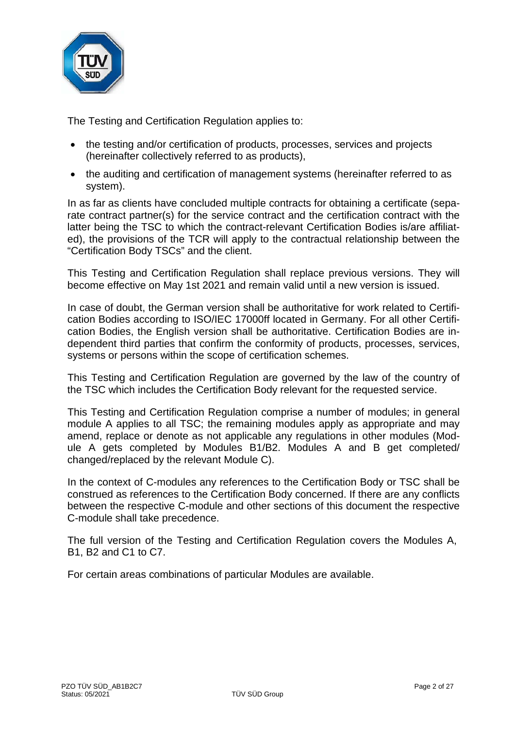

The Testing and Certification Regulation applies to:

- the testing and/or certification of products, processes, services and projects (hereinafter collectively referred to as products),
- the auditing and certification of management systems (hereinafter referred to as system).

In as far as clients have concluded multiple contracts for obtaining a certificate (separate contract partner(s) for the service contract and the certification contract with the latter being the TSC to which the contract-relevant Certification Bodies is/are affiliated), the provisions of the TCR will apply to the contractual relationship between the "Certification Body TSCs" and the client.

This Testing and Certification Regulation shall replace previous versions. They will become effective on May 1st 2021 and remain valid until a new version is issued.

In case of doubt, the German version shall be authoritative for work related to Certification Bodies according to ISO/IEC 17000ff located in Germany. For all other Certification Bodies, the English version shall be authoritative. Certification Bodies are independent third parties that confirm the conformity of products, processes, services, systems or persons within the scope of certification schemes.

This Testing and Certification Regulation are governed by the law of the country of the TSC which includes the Certification Body relevant for the requested service.

This Testing and Certification Regulation comprise a number of modules; in general module A applies to all TSC; the remaining modules apply as appropriate and may amend, replace or denote as not applicable any regulations in other modules (Module A gets completed by Modules B1/B2. Modules A and B get completed/ changed/replaced by the relevant Module C).

In the context of C-modules any references to the Certification Body or TSC shall be construed as references to the Certification Body concerned. If there are any conflicts between the respective C-module and other sections of this document the respective C-module shall take precedence.

The full version of the Testing and Certification Regulation covers the Modules A, B1, B2 and C1 to C7.

For certain areas combinations of particular Modules are available.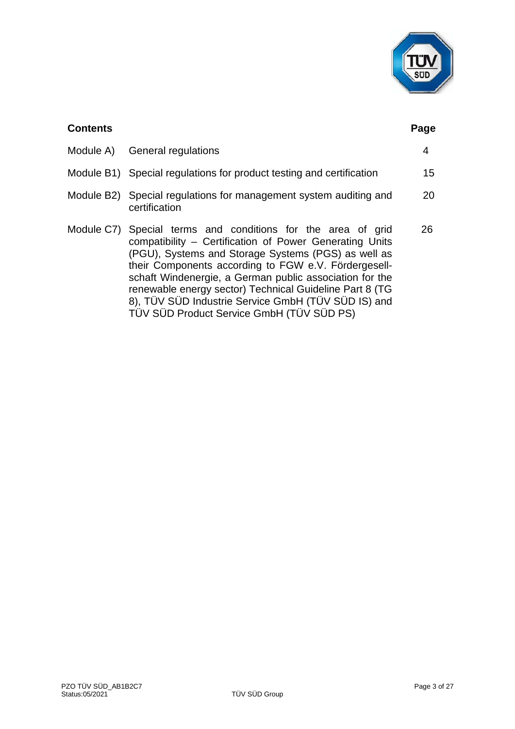

| <b>Contents</b> |                                                                                                                                                                                                                                                                                                                                                                                                                                                                  | Page |
|-----------------|------------------------------------------------------------------------------------------------------------------------------------------------------------------------------------------------------------------------------------------------------------------------------------------------------------------------------------------------------------------------------------------------------------------------------------------------------------------|------|
|                 | Module A) General regulations                                                                                                                                                                                                                                                                                                                                                                                                                                    | 4    |
|                 | Module B1) Special regulations for product testing and certification                                                                                                                                                                                                                                                                                                                                                                                             | 15   |
|                 | Module B2) Special regulations for management system auditing and<br>certification                                                                                                                                                                                                                                                                                                                                                                               | 20   |
|                 | Module C7) Special terms and conditions for the area of grid<br>compatibility – Certification of Power Generating Units<br>(PGU), Systems and Storage Systems (PGS) as well as<br>their Components according to FGW e.V. Fördergesell-<br>schaft Windenergie, a German public association for the<br>renewable energy sector) Technical Guideline Part 8 (TG<br>8), TÜV SÜD Industrie Service GmbH (TÜV SÜD IS) and<br>TÜV SÜD Product Service GmbH (TÜV SÜD PS) | 26   |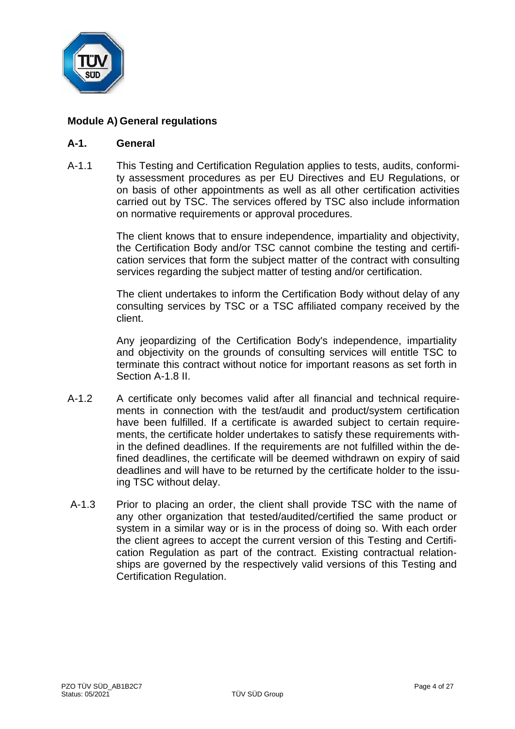

# **Module A) General regulations**

#### **A-1. General**

A-1.1 This Testing and Certification Regulation applies to tests, audits, conformity assessment procedures as per EU Directives and EU Regulations, or on basis of other appointments as well as all other certification activities carried out by TSC. The services offered by TSC also include information on normative requirements or approval procedures.

> The client knows that to ensure independence, impartiality and objectivity, the Certification Body and/or TSC cannot combine the testing and certification services that form the subject matter of the contract with consulting services regarding the subject matter of testing and/or certification.

> The client undertakes to inform the Certification Body without delay of any consulting services by TSC or a TSC affiliated company received by the client.

> Any jeopardizing of the Certification Body's independence, impartiality and objectivity on the grounds of consulting services will entitle TSC to terminate this contract without notice for important reasons as set forth in Section A-1.8 II.

- A-1.2 A certificate only becomes valid after all financial and technical requirements in connection with the test/audit and product/system certification have been fulfilled. If a certificate is awarded subject to certain requirements, the certificate holder undertakes to satisfy these requirements within the defined deadlines. If the requirements are not fulfilled within the defined deadlines, the certificate will be deemed withdrawn on expiry of said deadlines and will have to be returned by the certificate holder to the issuing TSC without delay.
- A-1.3 Prior to placing an order, the client shall provide TSC with the name of any other organization that tested/audited/certified the same product or system in a similar way or is in the process of doing so. With each order the client agrees to accept the current version of this Testing and Certification Regulation as part of the contract. Existing contractual relationships are governed by the respectively valid versions of this Testing and Certification Regulation.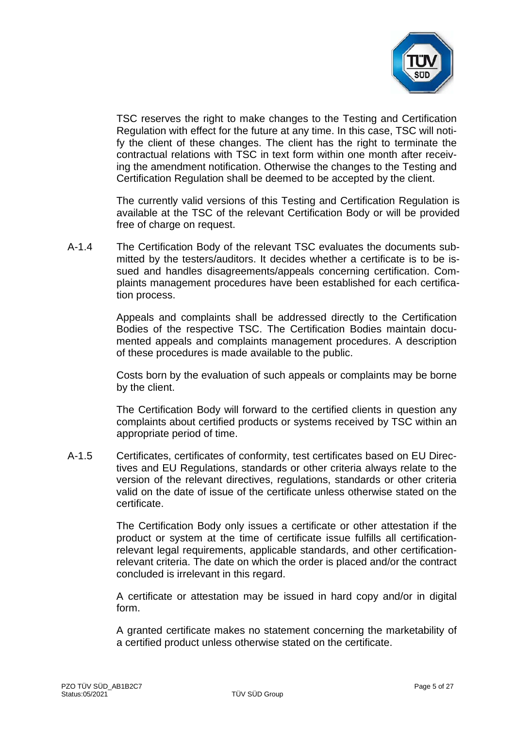

TSC reserves the right to make changes to the Testing and Certification Regulation with effect for the future at any time. In this case, TSC will notify the client of these changes. The client has the right to terminate the contractual relations with TSC in text form within one month after receiving the amendment notification. Otherwise the changes to the Testing and Certification Regulation shall be deemed to be accepted by the client.

The currently valid versions of this Testing and Certification Regulation is available at the TSC of the relevant Certification Body or will be provided free of charge on request.

A-1.4 The Certification Body of the relevant TSC evaluates the documents submitted by the testers/auditors. It decides whether a certificate is to be issued and handles disagreements/appeals concerning certification. Complaints management procedures have been established for each certification process.

> Appeals and complaints shall be addressed directly to the Certification Bodies of the respective TSC. The Certification Bodies maintain documented appeals and complaints management procedures. A description of these procedures is made available to the public.

> Costs born by the evaluation of such appeals or complaints may be borne by the client.

> The Certification Body will forward to the certified clients in question any complaints about certified products or systems received by TSC within an appropriate period of time.

A-1.5 Certificates, certificates of conformity, test certificates based on EU Directives and EU Regulations, standards or other criteria always relate to the version of the relevant directives, regulations, standards or other criteria valid on the date of issue of the certificate unless otherwise stated on the certificate.

> The Certification Body only issues a certificate or other attestation if the product or system at the time of certificate issue fulfills all certificationrelevant legal requirements, applicable standards, and other certificationrelevant criteria. The date on which the order is placed and/or the contract concluded is irrelevant in this regard.

> A certificate or attestation may be issued in hard copy and/or in digital form.

> A granted certificate makes no statement concerning the marketability of a certified product unless otherwise stated on the certificate.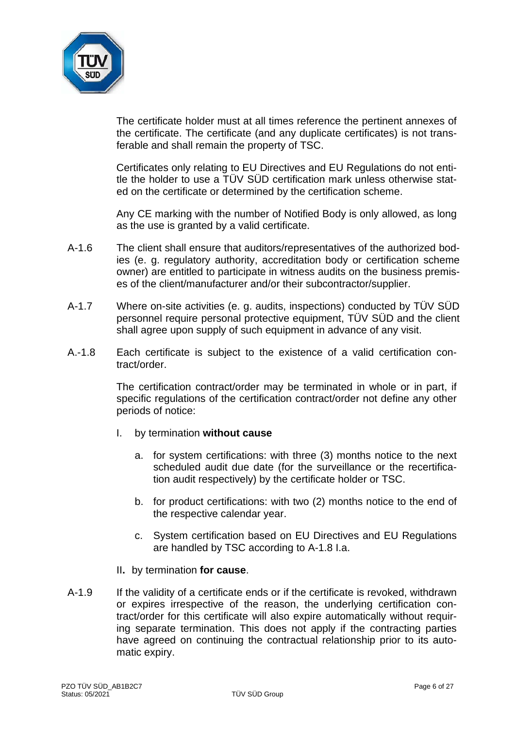

The certificate holder must at all times reference the pertinent annexes of the certificate. The certificate (and any duplicate certificates) is not transferable and shall remain the property of TSC.

Certificates only relating to EU Directives and EU Regulations do not entitle the holder to use a TÜV SÜD certification mark unless otherwise stated on the certificate or determined by the certification scheme.

Any CE marking with the number of Notified Body is only allowed, as long as the use is granted by a valid certificate.

- A-1.6 The client shall ensure that auditors/representatives of the authorized bodies (e. g. regulatory authority, accreditation body or certification scheme owner) are entitled to participate in witness audits on the business premises of the client/manufacturer and/or their subcontractor/supplier.
- A-1.7 Where on-site activities (e. g. audits, inspections) conducted by TÜV SÜD personnel require personal protective equipment, TÜV SÜD and the client shall agree upon supply of such equipment in advance of any visit.
- A.-1.8 Each certificate is subject to the existence of a valid certification contract/order.

The certification contract/order may be terminated in whole or in part, if specific regulations of the certification contract/order not define any other periods of notice:

- I. by termination **without cause**
	- a. for system certifications: with three (3) months notice to the next scheduled audit due date (for the surveillance or the recertification audit respectively) by the certificate holder or TSC.
	- b. for product certifications: with two (2) months notice to the end of the respective calendar year.
	- c. System certification based on EU Directives and EU Regulations are handled by TSC according to A-1.8 I.a.
- II**.** by termination **for cause**.
- A-1.9 If the validity of a certificate ends or if the certificate is revoked, withdrawn or expires irrespective of the reason, the underlying certification contract/order for this certificate will also expire automatically without requiring separate termination. This does not apply if the contracting parties have agreed on continuing the contractual relationship prior to its automatic expiry.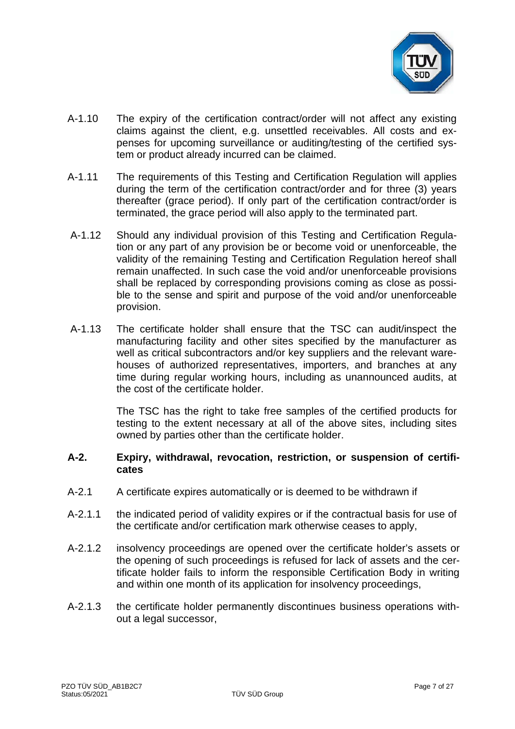

- A-1.10 The expiry of the certification contract/order will not affect any existing claims against the client, e.g. unsettled receivables. All costs and expenses for upcoming surveillance or auditing/testing of the certified system or product already incurred can be claimed.
- A-1.11 The requirements of this Testing and Certification Regulation will applies during the term of the certification contract/order and for three (3) years thereafter (grace period). If only part of the certification contract/order is terminated, the grace period will also apply to the terminated part.
- A-1.12 Should any individual provision of this Testing and Certification Regulation or any part of any provision be or become void or unenforceable, the validity of the remaining Testing and Certification Regulation hereof shall remain unaffected. In such case the void and/or unenforceable provisions shall be replaced by corresponding provisions coming as close as possible to the sense and spirit and purpose of the void and/or unenforceable provision.
- A-1.13 The certificate holder shall ensure that the TSC can audit/inspect the manufacturing facility and other sites specified by the manufacturer as well as critical subcontractors and/or key suppliers and the relevant warehouses of authorized representatives, importers, and branches at any time during regular working hours, including as unannounced audits, at the cost of the certificate holder.

The TSC has the right to take free samples of the certified products for testing to the extent necessary at all of the above sites, including sites owned by parties other than the certificate holder.

#### **A-2. Expiry, withdrawal, revocation, restriction, or suspension of certificates**

- A-2.1 A certificate expires automatically or is deemed to be withdrawn if
- A-2.1.1 the indicated period of validity expires or if the contractual basis for use of the certificate and/or certification mark otherwise ceases to apply,
- A-2.1.2 insolvency proceedings are opened over the certificate holder's assets or the opening of such proceedings is refused for lack of assets and the certificate holder fails to inform the responsible Certification Body in writing and within one month of its application for insolvency proceedings,
- A-2.1.3 the certificate holder permanently discontinues business operations without a legal successor,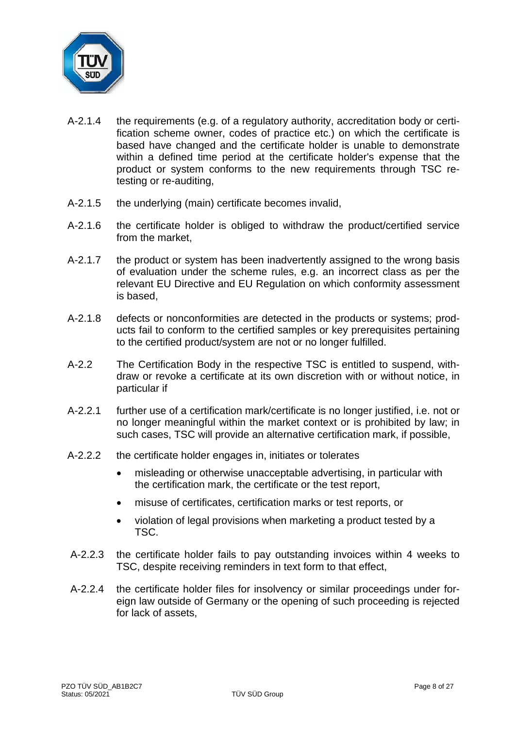

- A-2.1.4 the requirements (e.g. of a regulatory authority, accreditation body or certification scheme owner, codes of practice etc.) on which the certificate is based have changed and the certificate holder is unable to demonstrate within a defined time period at the certificate holder's expense that the product or system conforms to the new requirements through TSC retesting or re-auditing,
- A-2.1.5 the underlying (main) certificate becomes invalid,
- A-2.1.6 the certificate holder is obliged to withdraw the product/certified service from the market,
- A-2.1.7 the product or system has been inadvertently assigned to the wrong basis of evaluation under the scheme rules, e.g. an incorrect class as per the relevant EU Directive and EU Regulation on which conformity assessment is based,
- A-2.1.8 defects or nonconformities are detected in the products or systems; products fail to conform to the certified samples or key prerequisites pertaining to the certified product/system are not or no longer fulfilled.
- A-2.2 The Certification Body in the respective TSC is entitled to suspend, withdraw or revoke a certificate at its own discretion with or without notice, in particular if
- A-2.2.1 further use of a certification mark/certificate is no longer justified, i.e. not or no longer meaningful within the market context or is prohibited by law; in such cases, TSC will provide an alternative certification mark, if possible,
- A-2.2.2 the certificate holder engages in, initiates or tolerates
	- misleading or otherwise unacceptable advertising, in particular with the certification mark, the certificate or the test report,
	- misuse of certificates, certification marks or test reports, or
	- violation of legal provisions when marketing a product tested by a TSC.
- A-2.2.3 the certificate holder fails to pay outstanding invoices within 4 weeks to TSC, despite receiving reminders in text form to that effect,
- A-2.2.4 the certificate holder files for insolvency or similar proceedings under foreign law outside of Germany or the opening of such proceeding is rejected for lack of assets,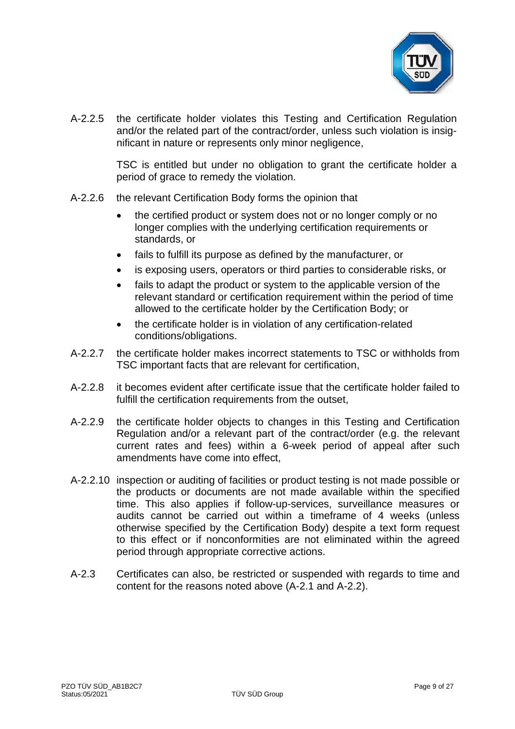

A-2.2.5 the certificate holder violates this Testing and Certification Regulation and/or the related part of the contract/order, unless such violation is insignificant in nature or represents only minor negligence,

> TSC is entitled but under no obligation to grant the certificate holder a period of grace to remedy the violation.

- A-2.2.6 the relevant Certification Body forms the opinion that
	- the certified product or system does not or no longer comply or no longer complies with the underlying certification requirements or standards, or
	- fails to fulfill its purpose as defined by the manufacturer, or
	- is exposing users, operators or third parties to considerable risks, or
	- fails to adapt the product or system to the applicable version of the relevant standard or certification requirement within the period of time allowed to the certificate holder by the Certification Body; or
	- the certificate holder is in violation of any certification-related conditions/obligations.
- A-2.2.7 the certificate holder makes incorrect statements to TSC or withholds from TSC important facts that are relevant for certification,
- A-2.2.8 it becomes evident after certificate issue that the certificate holder failed to fulfill the certification requirements from the outset,
- A-2.2.9 the certificate holder objects to changes in this Testing and Certification Regulation and/or a relevant part of the contract/order (e.g. the relevant current rates and fees) within a 6-week period of appeal after such amendments have come into effect,
- A-2.2.10 inspection or auditing of facilities or product testing is not made possible or the products or documents are not made available within the specified time. This also applies if follow-up-services, surveillance measures or audits cannot be carried out within a timeframe of 4 weeks (unless otherwise specified by the Certification Body) despite a text form request to this effect or if nonconformities are not eliminated within the agreed period through appropriate corrective actions.
- A-2.3 Certificates can also, be restricted or suspended with regards to time and content for the reasons noted above (A-2.1 and A-2.2).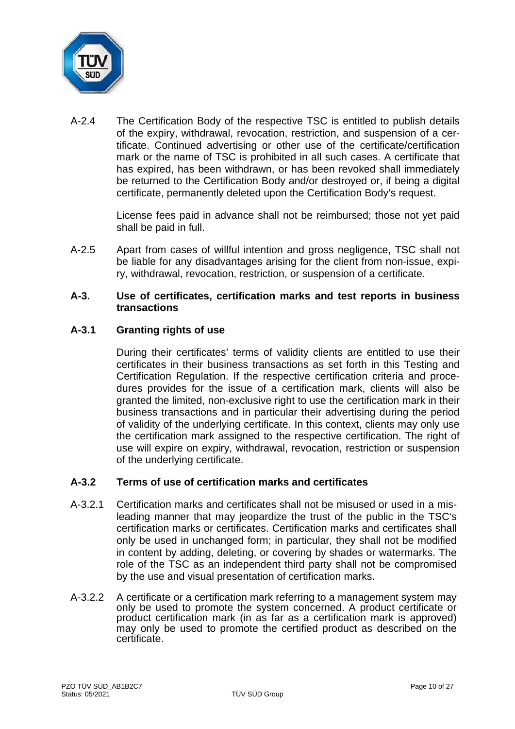

A-2.4 The Certification Body of the respective TSC is entitled to publish details of the expiry, withdrawal, revocation, restriction, and suspension of a certificate. Continued advertising or other use of the certificate/certification mark or the name of TSC is prohibited in all such cases. A certificate that has expired, has been withdrawn, or has been revoked shall immediately be returned to the Certification Body and/or destroyed or, if being a digital certificate, permanently deleted upon the Certification Body's request.

> License fees paid in advance shall not be reimbursed; those not yet paid shall be paid in full.

A-2.5 Apart from cases of willful intention and gross negligence, TSC shall not be liable for any disadvantages arising for the client from non-issue, expiry, withdrawal, revocation, restriction, or suspension of a certificate.

#### **A-3. Use of certificates, certification marks and test reports in business transactions**

# **A-3.1 Granting rights of use**

During their certificates' terms of validity clients are entitled to use their certificates in their business transactions as set forth in this Testing and Certification Regulation. If the respective certification criteria and procedures provides for the issue of a certification mark, clients will also be granted the limited, non-exclusive right to use the certification mark in their business transactions and in particular their advertising during the period of validity of the underlying certificate. In this context, clients may only use the certification mark assigned to the respective certification. The right of use will expire on expiry, withdrawal, revocation, restriction or suspension of the underlying certificate.

# **A-3.2 Terms of use of certification marks and certificates**

- A-3.2.1 Certification marks and certificates shall not be misused or used in a misleading manner that may jeopardize the trust of the public in the TSC's certification marks or certificates. Certification marks and certificates shall only be used in unchanged form; in particular, they shall not be modified in content by adding, deleting, or covering by shades or watermarks. The role of the TSC as an independent third party shall not be compromised by the use and visual presentation of certification marks.
- A-3.2.2 A certificate or a certification mark referring to a management system may only be used to promote the system concerned. A product certificate or product certification mark (in as far as a certification mark is approved) may only be used to promote the certified product as described on the certificate.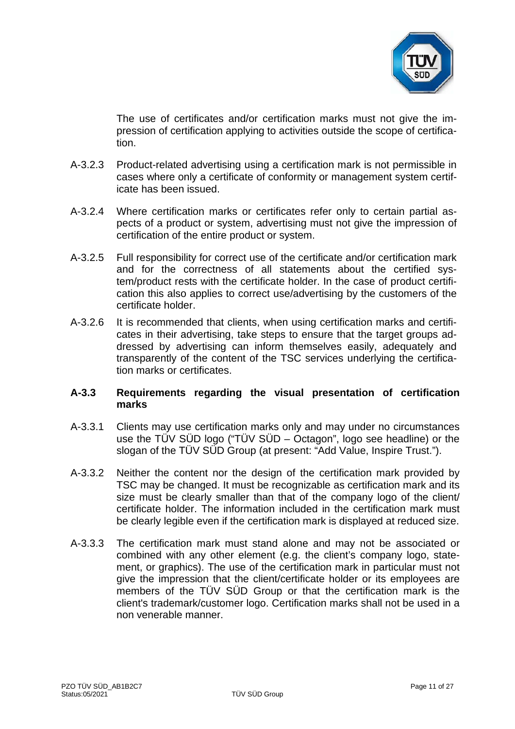

The use of certificates and/or certification marks must not give the impression of certification applying to activities outside the scope of certification.

- A-3.2.3 Product-related advertising using a certification mark is not permissible in cases where only a certificate of conformity or management system certificate has been issued.
- A-3.2.4 Where certification marks or certificates refer only to certain partial aspects of a product or system, advertising must not give the impression of certification of the entire product or system.
- A-3.2.5 Full responsibility for correct use of the certificate and/or certification mark and for the correctness of all statements about the certified system/product rests with the certificate holder. In the case of product certification this also applies to correct use/advertising by the customers of the certificate holder.
- A-3.2.6 It is recommended that clients, when using certification marks and certificates in their advertising, take steps to ensure that the target groups addressed by advertising can inform themselves easily, adequately and transparently of the content of the TSC services underlying the certification marks or certificates.

# **A-3.3 Requirements regarding the visual presentation of certification marks**

- A-3.3.1 Clients may use certification marks only and may under no circumstances use the TÜV SÜD logo ("TÜV SÜD – Octagon", logo see headline) or the slogan of the TÜV SÜD Group (at present: "Add Value, Inspire Trust.").
- A-3.3.2 Neither the content nor the design of the certification mark provided by TSC may be changed. It must be recognizable as certification mark and its size must be clearly smaller than that of the company logo of the client/ certificate holder. The information included in the certification mark must be clearly legible even if the certification mark is displayed at reduced size.
- A-3.3.3 The certification mark must stand alone and may not be associated or combined with any other element (e.g. the client's company logo, statement, or graphics). The use of the certification mark in particular must not give the impression that the client/certificate holder or its employees are members of the TÜV SÜD Group or that the certification mark is the client's trademark/customer logo. Certification marks shall not be used in a non venerable manner.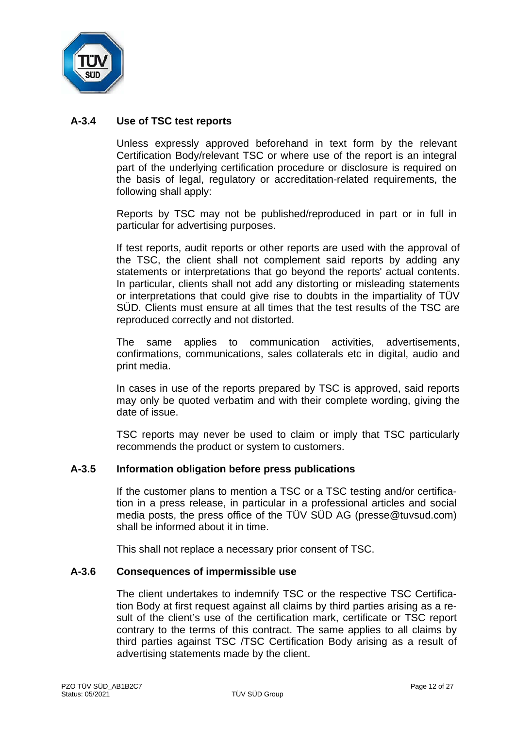

# **A-3.4 Use of TSC test reports**

Unless expressly approved beforehand in text form by the relevant Certification Body/relevant TSC or where use of the report is an integral part of the underlying certification procedure or disclosure is required on the basis of legal, regulatory or accreditation-related requirements, the following shall apply:

Reports by TSC may not be published/reproduced in part or in full in particular for advertising purposes.

If test reports, audit reports or other reports are used with the approval of the TSC, the client shall not complement said reports by adding any statements or interpretations that go beyond the reports' actual contents. In particular, clients shall not add any distorting or misleading statements or interpretations that could give rise to doubts in the impartiality of TÜV SÜD. Clients must ensure at all times that the test results of the TSC are reproduced correctly and not distorted.

The same applies to communication activities, advertisements, confirmations, communications, sales collaterals etc in digital, audio and print media.

In cases in use of the reports prepared by TSC is approved, said reports may only be quoted verbatim and with their complete wording, giving the date of issue.

TSC reports may never be used to claim or imply that TSC particularly recommends the product or system to customers.

#### **A-3.5 Information obligation before press publications**

If the customer plans to mention a TSC or a TSC testing and/or certification in a press release, in particular in a professional articles and social media posts, the press office of the TÜV SÜD AG (presse@tuvsud.com) shall be informed about it in time.

This shall not replace a necessary prior consent of TSC.

#### **A-3.6 Consequences of impermissible use**

The client undertakes to indemnify TSC or the respective TSC Certification Body at first request against all claims by third parties arising as a result of the client's use of the certification mark, certificate or TSC report contrary to the terms of this contract. The same applies to all claims by third parties against TSC /TSC Certification Body arising as a result of advertising statements made by the client.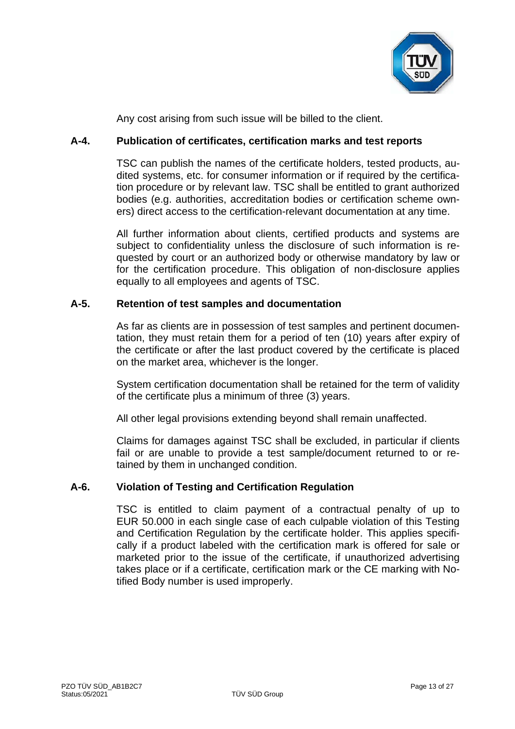

Any cost arising from such issue will be billed to the client.

# **A-4. Publication of certificates, certification marks and test reports**

TSC can publish the names of the certificate holders, tested products, audited systems, etc. for consumer information or if required by the certification procedure or by relevant law. TSC shall be entitled to grant authorized bodies (e.g. authorities, accreditation bodies or certification scheme owners) direct access to the certification-relevant documentation at any time.

All further information about clients, certified products and systems are subject to confidentiality unless the disclosure of such information is requested by court or an authorized body or otherwise mandatory by law or for the certification procedure. This obligation of non-disclosure applies equally to all employees and agents of TSC.

# **A-5. Retention of test samples and documentation**

As far as clients are in possession of test samples and pertinent documentation, they must retain them for a period of ten (10) years after expiry of the certificate or after the last product covered by the certificate is placed on the market area, whichever is the longer.

System certification documentation shall be retained for the term of validity of the certificate plus a minimum of three (3) years.

All other legal provisions extending beyond shall remain unaffected.

Claims for damages against TSC shall be excluded, in particular if clients fail or are unable to provide a test sample/document returned to or retained by them in unchanged condition.

# **A-6. Violation of Testing and Certification Regulation**

TSC is entitled to claim payment of a contractual penalty of up to EUR 50.000 in each single case of each culpable violation of this Testing and Certification Regulation by the certificate holder. This applies specifically if a product labeled with the certification mark is offered for sale or marketed prior to the issue of the certificate, if unauthorized advertising takes place or if a certificate, certification mark or the CE marking with Notified Body number is used improperly.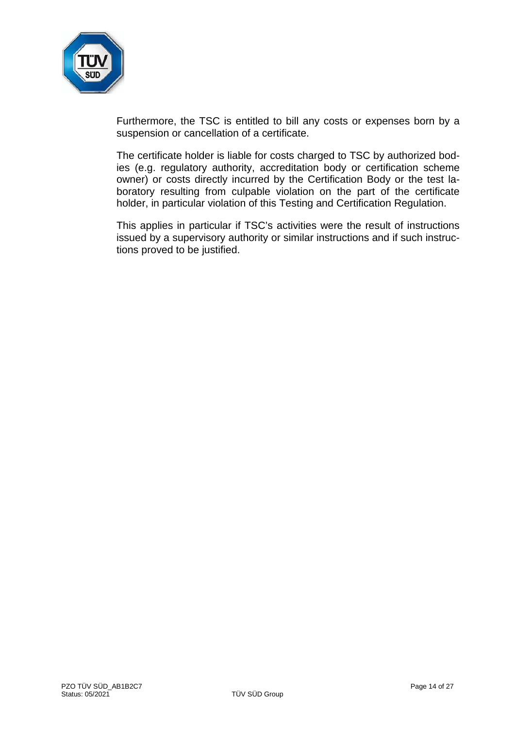

Furthermore, the TSC is entitled to bill any costs or expenses born by a suspension or cancellation of a certificate.

The certificate holder is liable for costs charged to TSC by authorized bodies (e.g. regulatory authority, accreditation body or certification scheme owner) or costs directly incurred by the Certification Body or the test laboratory resulting from culpable violation on the part of the certificate holder, in particular violation of this Testing and Certification Regulation.

This applies in particular if TSC's activities were the result of instructions issued by a supervisory authority or similar instructions and if such instructions proved to be justified.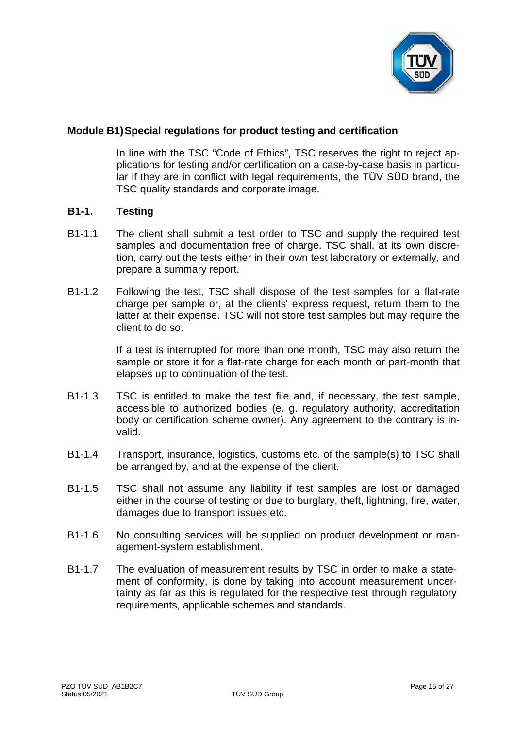

# **Module B1)Special regulations for product testing and certification**

In line with the TSC "Code of Ethics", TSC reserves the right to reject applications for testing and/or certification on a case-by-case basis in particular if they are in conflict with legal requirements, the TÜV SÜD brand, the TSC quality standards and corporate image.

#### **B1-1. Testing**

- B1-1.1 The client shall submit a test order to TSC and supply the required test samples and documentation free of charge. TSC shall, at its own discretion, carry out the tests either in their own test laboratory or externally, and prepare a summary report.
- B1-1.2 Following the test, TSC shall dispose of the test samples for a flat-rate charge per sample or, at the clients' express request, return them to the latter at their expense. TSC will not store test samples but may require the client to do so.

If a test is interrupted for more than one month, TSC may also return the sample or store it for a flat-rate charge for each month or part-month that elapses up to continuation of the test.

- B1-1.3 TSC is entitled to make the test file and, if necessary, the test sample, accessible to authorized bodies (e. g. regulatory authority, accreditation body or certification scheme owner). Any agreement to the contrary is invalid.
- B1-1.4 Transport, insurance, logistics, customs etc. of the sample(s) to TSC shall be arranged by, and at the expense of the client.
- B1-1.5 TSC shall not assume any liability if test samples are lost or damaged either in the course of testing or due to burglary, theft, lightning, fire, water, damages due to transport issues etc.
- B1-1.6 No consulting services will be supplied on product development or management-system establishment.
- B1-1.7 The evaluation of measurement results by TSC in order to make a statement of conformity, is done by taking into account measurement uncertainty as far as this is regulated for the respective test through regulatory requirements, applicable schemes and standards.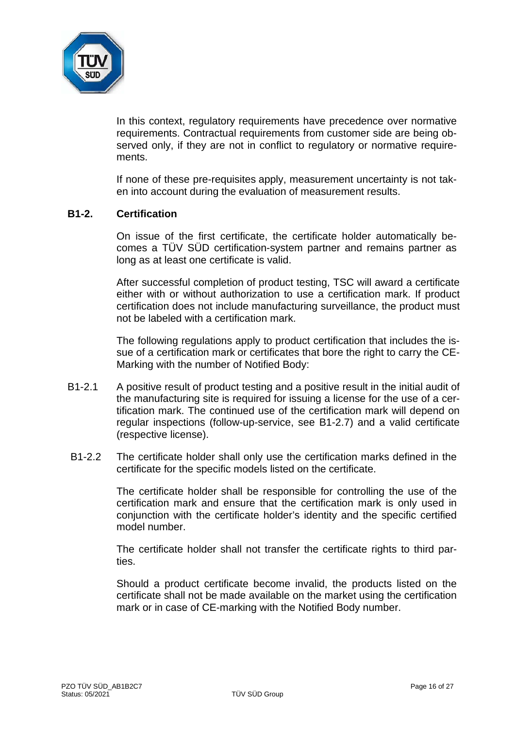

In this context, regulatory requirements have precedence over normative requirements. Contractual requirements from customer side are being observed only, if they are not in conflict to regulatory or normative requirements.

If none of these pre-requisites apply, measurement uncertainty is not taken into account during the evaluation of measurement results.

#### **B1-2. Certification**

On issue of the first certificate, the certificate holder automatically becomes a TÜV SÜD certification-system partner and remains partner as long as at least one certificate is valid.

After successful completion of product testing, TSC will award a certificate either with or without authorization to use a certification mark. If product certification does not include manufacturing surveillance, the product must not be labeled with a certification mark.

The following regulations apply to product certification that includes the issue of a certification mark or certificates that bore the right to carry the CE-Marking with the number of Notified Body:

- B1-2.1 A positive result of product testing and a positive result in the initial audit of the manufacturing site is required for issuing a license for the use of a certification mark. The continued use of the certification mark will depend on regular inspections (follow-up-service, see B1-2.7) and a valid certificate (respective license).
- B1-2.2 The certificate holder shall only use the certification marks defined in the certificate for the specific models listed on the certificate.

The certificate holder shall be responsible for controlling the use of the certification mark and ensure that the certification mark is only used in conjunction with the certificate holder's identity and the specific certified model number.

The certificate holder shall not transfer the certificate rights to third parties.

Should a product certificate become invalid, the products listed on the certificate shall not be made available on the market using the certification mark or in case of CE-marking with the Notified Body number.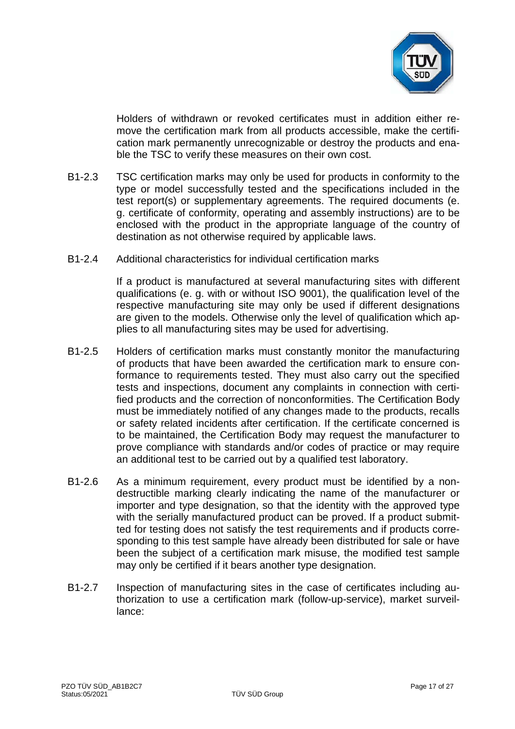

Holders of withdrawn or revoked certificates must in addition either remove the certification mark from all products accessible, make the certification mark permanently unrecognizable or destroy the products and enable the TSC to verify these measures on their own cost.

- B1-2.3 TSC certification marks may only be used for products in conformity to the type or model successfully tested and the specifications included in the test report(s) or supplementary agreements. The required documents (e. g. certificate of conformity, operating and assembly instructions) are to be enclosed with the product in the appropriate language of the country of destination as not otherwise required by applicable laws.
- B1-2.4 Additional characteristics for individual certification marks

If a product is manufactured at several manufacturing sites with different qualifications (e. g. with or without ISO 9001), the qualification level of the respective manufacturing site may only be used if different designations are given to the models. Otherwise only the level of qualification which applies to all manufacturing sites may be used for advertising.

- B1-2.5 Holders of certification marks must constantly monitor the manufacturing of products that have been awarded the certification mark to ensure conformance to requirements tested. They must also carry out the specified tests and inspections, document any complaints in connection with certified products and the correction of nonconformities. The Certification Body must be immediately notified of any changes made to the products, recalls or safety related incidents after certification. If the certificate concerned is to be maintained, the Certification Body may request the manufacturer to prove compliance with standards and/or codes of practice or may require an additional test to be carried out by a qualified test laboratory.
- B1-2.6 As a minimum requirement, every product must be identified by a nondestructible marking clearly indicating the name of the manufacturer or importer and type designation, so that the identity with the approved type with the serially manufactured product can be proved. If a product submitted for testing does not satisfy the test requirements and if products corresponding to this test sample have already been distributed for sale or have been the subject of a certification mark misuse, the modified test sample may only be certified if it bears another type designation.
- B1-2.7 Inspection of manufacturing sites in the case of certificates including authorization to use a certification mark (follow-up-service), market surveillance: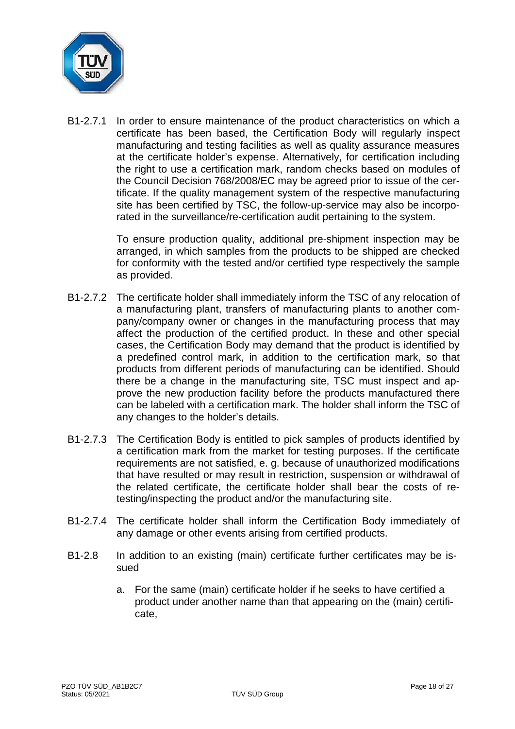

B1-2.7.1 In order to ensure maintenance of the product characteristics on which a certificate has been based, the Certification Body will regularly inspect manufacturing and testing facilities as well as quality assurance measures at the certificate holder's expense. Alternatively, for certification including the right to use a certification mark, random checks based on modules of the Council Decision 768/2008/EC may be agreed prior to issue of the certificate. If the quality management system of the respective manufacturing site has been certified by TSC, the follow-up-service may also be incorporated in the surveillance/re-certification audit pertaining to the system.

> To ensure production quality, additional pre-shipment inspection may be arranged, in which samples from the products to be shipped are checked for conformity with the tested and/or certified type respectively the sample as provided.

- B1-2.7.2 The certificate holder shall immediately inform the TSC of any relocation of a manufacturing plant, transfers of manufacturing plants to another company/company owner or changes in the manufacturing process that may affect the production of the certified product. In these and other special cases, the Certification Body may demand that the product is identified by a predefined control mark, in addition to the certification mark, so that products from different periods of manufacturing can be identified. Should there be a change in the manufacturing site, TSC must inspect and approve the new production facility before the products manufactured there can be labeled with a certification mark. The holder shall inform the TSC of any changes to the holder's details.
- B1-2.7.3 The Certification Body is entitled to pick samples of products identified by a certification mark from the market for testing purposes. If the certificate requirements are not satisfied, e. g. because of unauthorized modifications that have resulted or may result in restriction, suspension or withdrawal of the related certificate, the certificate holder shall bear the costs of retesting/inspecting the product and/or the manufacturing site.
- B1-2.7.4 The certificate holder shall inform the Certification Body immediately of any damage or other events arising from certified products.
- B1-2.8 In addition to an existing (main) certificate further certificates may be issued
	- a. For the same (main) certificate holder if he seeks to have certified a product under another name than that appearing on the (main) certificate,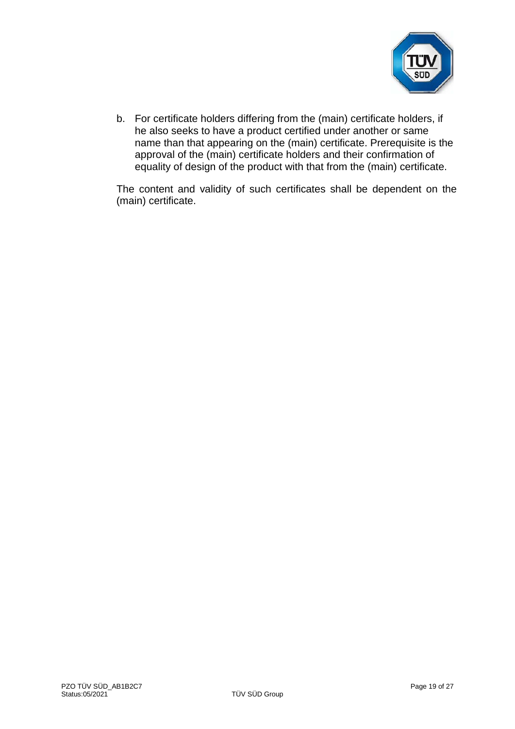

b. For certificate holders differing from the (main) certificate holders, if he also seeks to have a product certified under another or same name than that appearing on the (main) certificate. Prerequisite is the approval of the (main) certificate holders and their confirmation of equality of design of the product with that from the (main) certificate.

The content and validity of such certificates shall be dependent on the (main) certificate.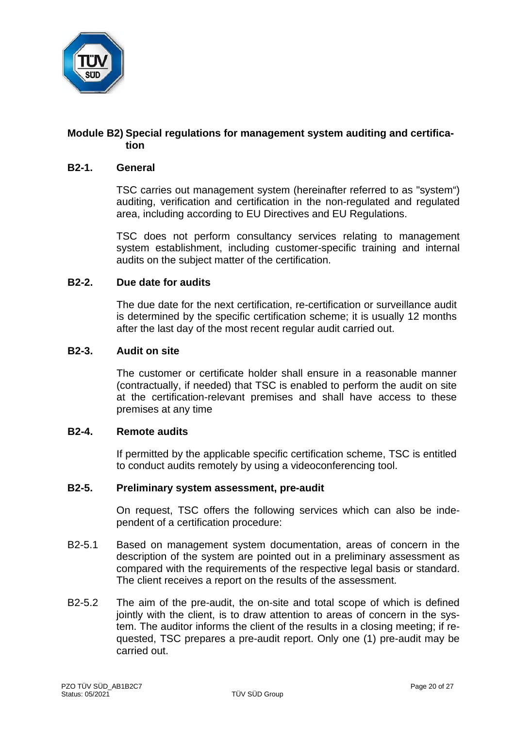

# **Module B2) Special regulations for management system auditing and certification**

#### **B2-1. General**

TSC carries out management system (hereinafter referred to as "system") auditing, verification and certification in the non-regulated and regulated area, including according to EU Directives and EU Regulations.

TSC does not perform consultancy services relating to management system establishment, including customer-specific training and internal audits on the subject matter of the certification.

#### **B2-2. Due date for audits**

The due date for the next certification, re-certification or surveillance audit is determined by the specific certification scheme; it is usually 12 months after the last day of the most recent regular audit carried out.

#### **B2-3. Audit on site**

The customer or certificate holder shall ensure in a reasonable manner (contractually, if needed) that TSC is enabled to perform the audit on site at the certification-relevant premises and shall have access to these premises at any time

#### **B2-4. Remote audits**

If permitted by the applicable specific certification scheme, TSC is entitled to conduct audits remotely by using a videoconferencing tool.

# **B2-5. Preliminary system assessment, pre-audit**

On request, TSC offers the following services which can also be independent of a certification procedure:

- B2-5.1 Based on management system documentation, areas of concern in the description of the system are pointed out in a preliminary assessment as compared with the requirements of the respective legal basis or standard. The client receives a report on the results of the assessment.
- B2-5.2 The aim of the pre-audit, the on-site and total scope of which is defined jointly with the client, is to draw attention to areas of concern in the system. The auditor informs the client of the results in a closing meeting; if requested, TSC prepares a pre-audit report. Only one (1) pre-audit may be carried out.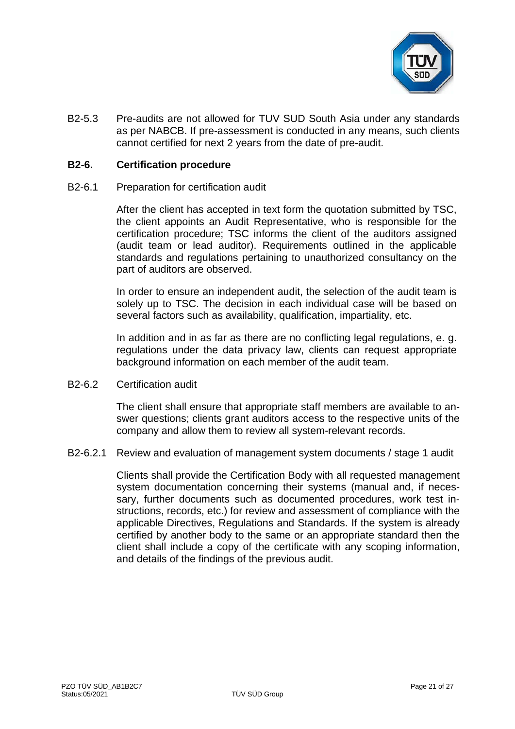

B2-5.3 Pre-audits are not allowed for TUV SUD South Asia under any standards as per NABCB. If pre-assessment is conducted in any means, such clients cannot certified for next 2 years from the date of pre-audit.

#### **B2-6. Certification procedure**

B2-6.1 Preparation for certification audit

After the client has accepted in text form the quotation submitted by TSC, the client appoints an Audit Representative, who is responsible for the certification procedure; TSC informs the client of the auditors assigned (audit team or lead auditor). Requirements outlined in the applicable standards and regulations pertaining to unauthorized consultancy on the part of auditors are observed.

In order to ensure an independent audit, the selection of the audit team is solely up to TSC. The decision in each individual case will be based on several factors such as availability, qualification, impartiality, etc.

In addition and in as far as there are no conflicting legal regulations, e. g. regulations under the data privacy law, clients can request appropriate background information on each member of the audit team.

B2-6.2 Certification audit

The client shall ensure that appropriate staff members are available to answer questions; clients grant auditors access to the respective units of the company and allow them to review all system-relevant records.

B2-6.2.1 Review and evaluation of management system documents / stage 1 audit

Clients shall provide the Certification Body with all requested management system documentation concerning their systems (manual and, if necessary, further documents such as documented procedures, work test instructions, records, etc.) for review and assessment of compliance with the applicable Directives, Regulations and Standards. If the system is already certified by another body to the same or an appropriate standard then the client shall include a copy of the certificate with any scoping information, and details of the findings of the previous audit.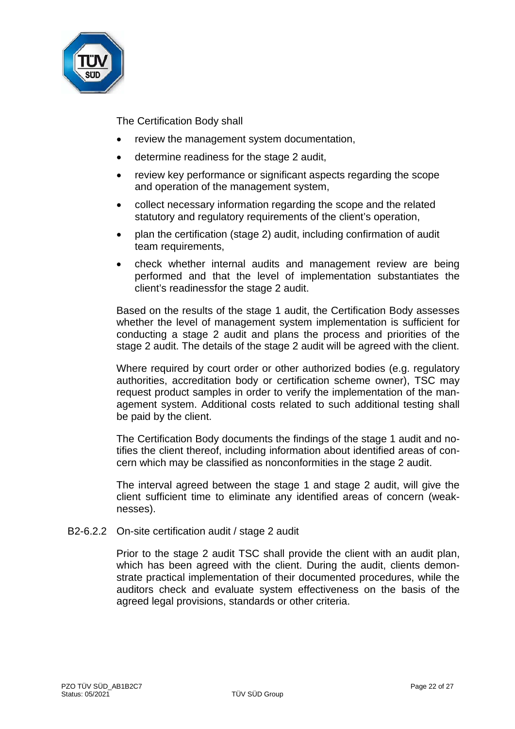

The Certification Body shall

- review the management system documentation,
- determine readiness for the stage 2 audit,
- review key performance or significant aspects regarding the scope and operation of the management system,
- collect necessary information regarding the scope and the related statutory and regulatory requirements of the client's operation,
- plan the certification (stage 2) audit, including confirmation of audit team requirements,
- check whether internal audits and management review are being performed and that the level of implementation substantiates the client's readinessfor the stage 2 audit.

Based on the results of the stage 1 audit, the Certification Body assesses whether the level of management system implementation is sufficient for conducting a stage 2 audit and plans the process and priorities of the stage 2 audit. The details of the stage 2 audit will be agreed with the client.

Where required by court order or other authorized bodies (e.g. regulatory authorities, accreditation body or certification scheme owner), TSC may request product samples in order to verify the implementation of the management system. Additional costs related to such additional testing shall be paid by the client.

The Certification Body documents the findings of the stage 1 audit and notifies the client thereof, including information about identified areas of concern which may be classified as nonconformities in the stage 2 audit.

The interval agreed between the stage 1 and stage 2 audit, will give the client sufficient time to eliminate any identified areas of concern (weaknesses).

B2-6.2.2 On-site certification audit / stage 2 audit

Prior to the stage 2 audit TSC shall provide the client with an audit plan, which has been agreed with the client. During the audit, clients demonstrate practical implementation of their documented procedures, while the auditors check and evaluate system effectiveness on the basis of the agreed legal provisions, standards or other criteria.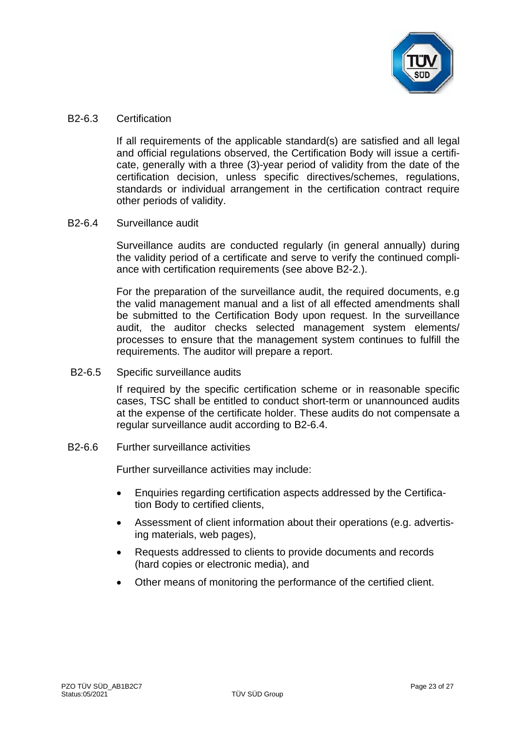

#### B2-6.3 Certification

If all requirements of the applicable standard(s) are satisfied and all legal and official regulations observed, the Certification Body will issue a certificate, generally with a three (3)-year period of validity from the date of the certification decision, unless specific directives/schemes, regulations, standards or individual arrangement in the certification contract require other periods of validity.

# B2-6.4 Surveillance audit

Surveillance audits are conducted regularly (in general annually) during the validity period of a certificate and serve to verify the continued compliance with certification requirements (see above B2-2.).

For the preparation of the surveillance audit, the required documents, e.g the valid management manual and a list of all effected amendments shall be submitted to the Certification Body upon request. In the surveillance audit, the auditor checks selected management system elements/ processes to ensure that the management system continues to fulfill the requirements. The auditor will prepare a report.

B2-6.5 Specific surveillance audits

If required by the specific certification scheme or in reasonable specific cases, TSC shall be entitled to conduct short-term or unannounced audits at the expense of the certificate holder. These audits do not compensate a regular surveillance audit according to B2-6.4.

B2-6.6 Further surveillance activities

Further surveillance activities may include:

- Enquiries regarding certification aspects addressed by the Certification Body to certified clients,
- Assessment of client information about their operations (e.g. advertising materials, web pages),
- Requests addressed to clients to provide documents and records (hard copies or electronic media), and
- Other means of monitoring the performance of the certified client.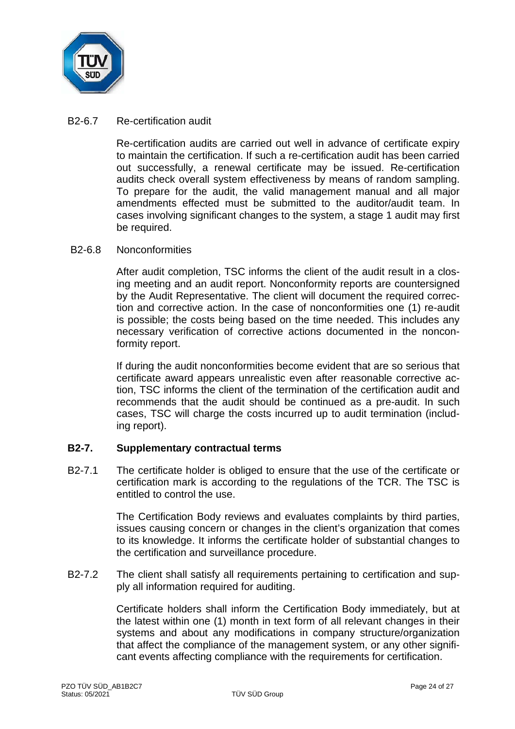

### B2-6.7 Re-certification audit

Re-certification audits are carried out well in advance of certificate expiry to maintain the certification. If such a re-certification audit has been carried out successfully, a renewal certificate may be issued. Re-certification audits check overall system effectiveness by means of random sampling. To prepare for the audit, the valid management manual and all major amendments effected must be submitted to the auditor/audit team. In cases involving significant changes to the system, a stage 1 audit may first be required.

#### B2-6.8 Nonconformities

After audit completion, TSC informs the client of the audit result in a closing meeting and an audit report. Nonconformity reports are countersigned by the Audit Representative. The client will document the required correction and corrective action. In the case of nonconformities one (1) re-audit is possible; the costs being based on the time needed. This includes any necessary verification of corrective actions documented in the nonconformity report.

If during the audit nonconformities become evident that are so serious that certificate award appears unrealistic even after reasonable corrective action, TSC informs the client of the termination of the certification audit and recommends that the audit should be continued as a pre-audit. In such cases, TSC will charge the costs incurred up to audit termination (including report).

# **B2-7. Supplementary contractual terms**

B2-7.1 The certificate holder is obliged to ensure that the use of the certificate or certification mark is according to the regulations of the TCR. The TSC is entitled to control the use.

> The Certification Body reviews and evaluates complaints by third parties, issues causing concern or changes in the client's organization that comes to its knowledge. It informs the certificate holder of substantial changes to the certification and surveillance procedure.

B2-7.2 The client shall satisfy all requirements pertaining to certification and supply all information required for auditing.

> Certificate holders shall inform the Certification Body immediately, but at the latest within one (1) month in text form of all relevant changes in their systems and about any modifications in company structure/organization that affect the compliance of the management system, or any other significant events affecting compliance with the requirements for certification.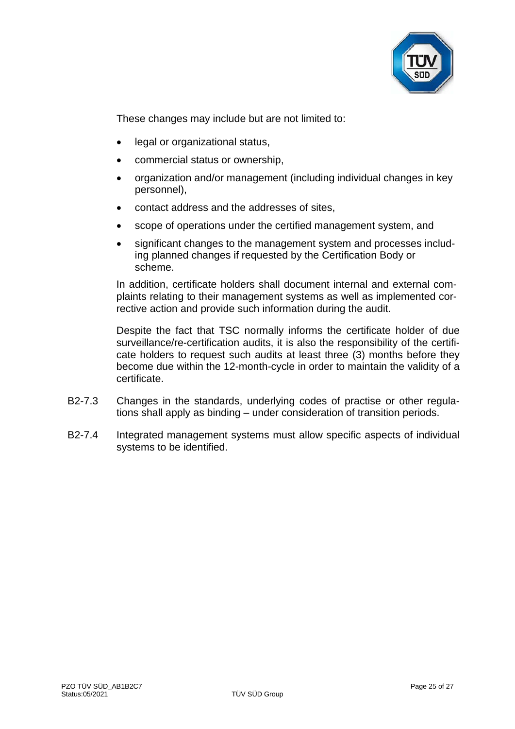

These changes may include but are not limited to:

- legal or organizational status,
- commercial status or ownership,
- organization and/or management (including individual changes in key personnel),
- contact address and the addresses of sites,
- scope of operations under the certified management system, and
- significant changes to the management system and processes including planned changes if requested by the Certification Body or scheme.

In addition, certificate holders shall document internal and external complaints relating to their management systems as well as implemented corrective action and provide such information during the audit.

Despite the fact that TSC normally informs the certificate holder of due surveillance/re-certification audits, it is also the responsibility of the certificate holders to request such audits at least three (3) months before they become due within the 12-month-cycle in order to maintain the validity of a certificate.

- B2-7.3 Changes in the standards, underlying codes of practise or other regulations shall apply as binding – under consideration of transition periods.
- B2-7.4 Integrated management systems must allow specific aspects of individual systems to be identified.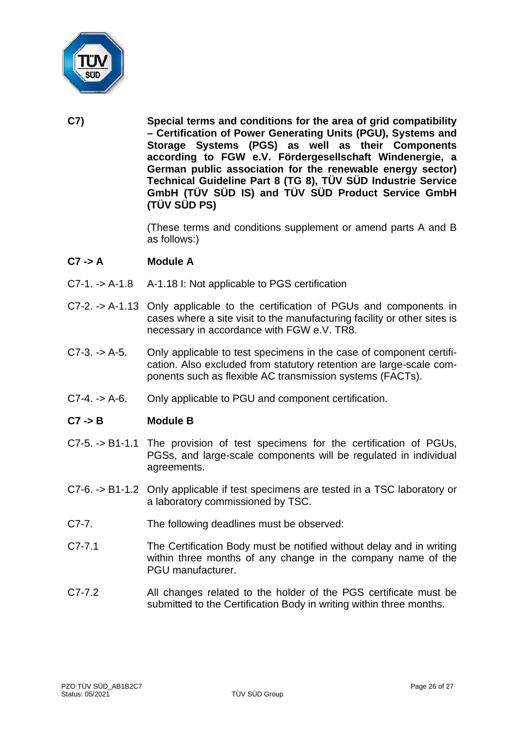

**C7) Special terms and conditions for the area of grid compatibility – Certification of Power Generating Units (PGU), Systems and Storage Systems (PGS) as well as their Components according to FGW e.V. Fördergesellschaft Windenergie, a German public association for the renewable energy sector) Technical Guideline Part 8 (TG 8), TÜV SÜD Industrie Service GmbH (TÜV SÜD IS) and TÜV SÜD Product Service GmbH (TÜV SÜD PS)**

> (These terms and conditions supplement or amend parts A and B as follows:)

# **C7 -> A Module A**

- C7-1. -> A-1.8 A-1.18 I: Not applicable to PGS certification
- C7-2. -> A-1.13 Only applicable to the certification of PGUs and components in cases where a site visit to the manufacturing facility or other sites is necessary in accordance with FGW e.V. TR8.
- C7-3. -> A-5. Only applicable to test specimens in the case of component certification. Also excluded from statutory retention are large-scale components such as flexible AC transmission systems (FACTs).
- C7-4. -> A-6. Only applicable to PGU and component certification.

# **C7 -> B Module B**

- C7-5. -> B1-1.1 The provision of test specimens for the certification of PGUs, PGSs, and large-scale components will be regulated in individual agreements.
- C7-6. -> B1-1.2 Only applicable if test specimens are tested in a TSC laboratory or a laboratory commissioned by TSC.
- C7-7. The following deadlines must be observed:
- C7-7.1 The Certification Body must be notified without delay and in writing within three months of any change in the company name of the PGU manufacturer.
- C7-7.2 All changes related to the holder of the PGS certificate must be submitted to the Certification Body in writing within three months.